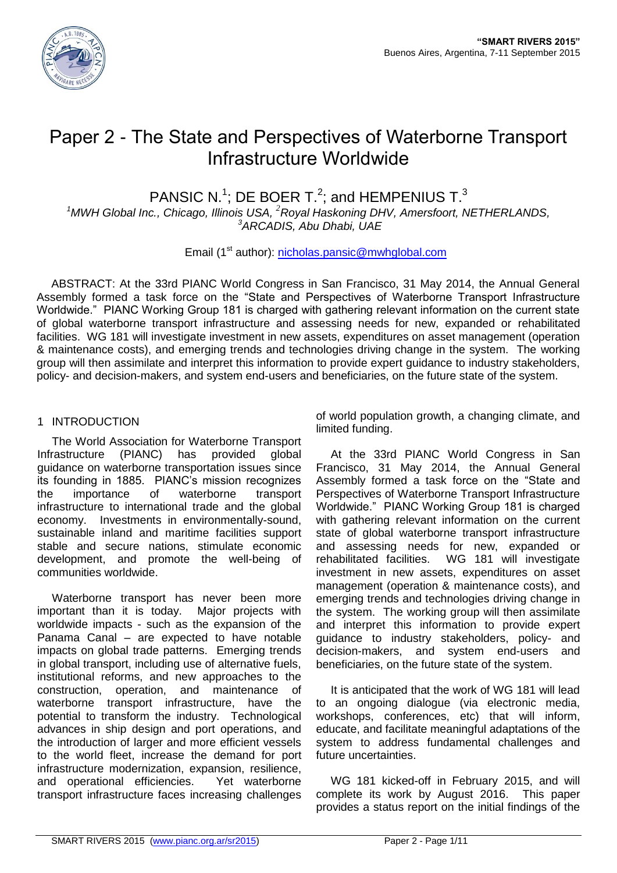

# Paper 2 - The State and Perspectives of Waterborne Transport Infrastructure Worldwide

PANSIC N.<sup>1</sup>; DE BOER T.<sup>2</sup>; and HEMPENIUS T.<sup>3</sup>

*<sup>1</sup>MWH Global Inc., Chicago, Illinois USA, <sup>2</sup>Royal Haskoning DHV, Amersfoort, NETHERLANDS, <sup>3</sup>ARCADIS, Abu Dhabi, UAE*

Email (1<sup>st</sup> author): [nicholas.pansic@mwhglobal.com](file:///C:/Users/bellojd/AppData/Local/Microsoft/Windows/Temporary%20Internet%20Files/Content.Outlook/O026FS30/nicholas.pansic@mwhglobal.com)

ABSTRACT: At the 33rd PIANC World Congress in San Francisco, 31 May 2014, the Annual General Assembly formed a task force on the "State and Perspectives of Waterborne Transport Infrastructure Worldwide." PIANC Working Group 181 is charged with gathering relevant information on the current state of global waterborne transport infrastructure and assessing needs for new, expanded or rehabilitated facilities. WG 181 will investigate investment in new assets, expenditures on asset management (operation & maintenance costs), and emerging trends and technologies driving change in the system. The working group will then assimilate and interpret this information to provide expert guidance to industry stakeholders, policy- and decision-makers, and system end-users and beneficiaries, on the future state of the system.

## 1 INTRODUCTION

The World Association for Waterborne Transport Infrastructure (PIANC) has provided global guidance on waterborne transportation issues since its founding in 1885. PIANC's mission recognizes the importance of waterborne transport infrastructure to international trade and the global economy. Investments in environmentally-sound, sustainable inland and maritime facilities support stable and secure nations, stimulate economic development, and promote the well-being of communities worldwide.

Waterborne transport has never been more important than it is today. Major projects with worldwide impacts - such as the expansion of the Panama Canal – are expected to have notable impacts on global trade patterns. Emerging trends in global transport, including use of alternative fuels, institutional reforms, and new approaches to the construction, operation, and maintenance of waterborne transport infrastructure, have the potential to transform the industry. Technological advances in ship design and port operations, and the introduction of larger and more efficient vessels to the world fleet, increase the demand for port infrastructure modernization, expansion, resilience, and operational efficiencies. Yet waterborne transport infrastructure faces increasing challenges

of world population growth, a changing climate, and limited funding.

At the 33rd PIANC World Congress in San Francisco, 31 May 2014, the Annual General Assembly formed a task force on the "State and Perspectives of Waterborne Transport Infrastructure Worldwide." PIANC Working Group 181 is charged with gathering relevant information on the current state of global waterborne transport infrastructure and assessing needs for new, expanded or rehabilitated facilities. WG 181 will investigate investment in new assets, expenditures on asset management (operation & maintenance costs), and emerging trends and technologies driving change in the system. The working group will then assimilate and interpret this information to provide expert guidance to industry stakeholders, policy- and decision-makers, and system end-users and beneficiaries, on the future state of the system.

It is anticipated that the work of WG 181 will lead to an ongoing dialogue (via electronic media, workshops, conferences, etc) that will inform, educate, and facilitate meaningful adaptations of the system to address fundamental challenges and future uncertainties.

WG 181 kicked-off in February 2015, and will complete its work by August 2016. This paper provides a status report on the initial findings of the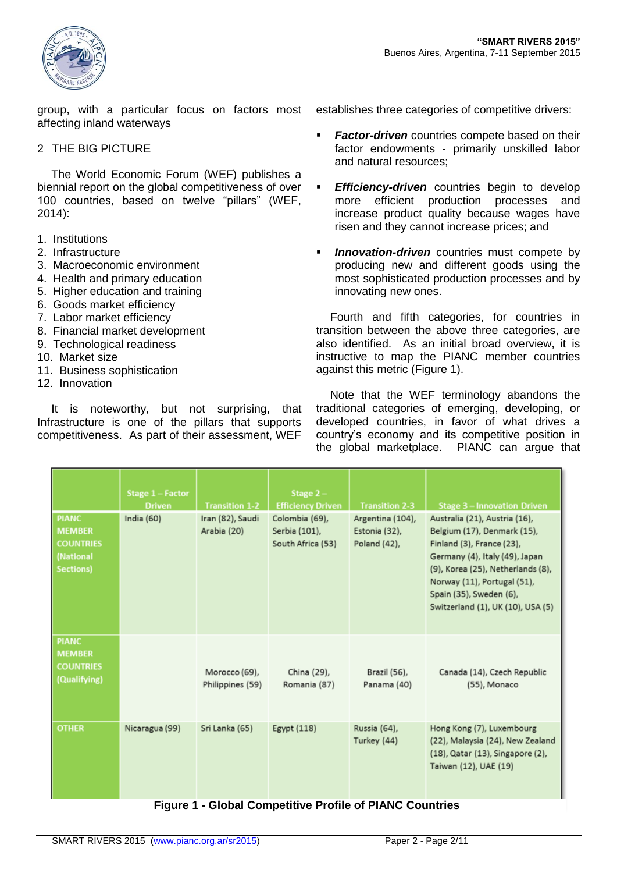

group, with a particular focus on factors most establishes three categories of competitive drivers: affecting inland waterways

## 2 THE BIG PICTURE

The World Economic Forum (WEF) publishes a biennial report on the global competitiveness of over 100 countries, based on twelve "pillars" (WEF, 2014):

- 1. Institutions
- 2. Infrastructure
- 3. Macroeconomic environment
- 4. Health and primary education
- 5. Higher education and training
- 6. Goods market efficiency
- 7. Labor market efficiency
- 8. Financial market development
- 9. Technological readiness
- 10. Market size
- 11. Business sophistication
- 12. Innovation

It is noteworthy, but not surprising, that Infrastructure is one of the pillars that supports competitiveness. As part of their assessment, WEF

- **Factor-driven** countries compete based on their factor endowments - primarily unskilled labor and natural resources;
- *Efficiency-driven* countries begin to develop more efficient production processes and increase product quality because wages have risen and they cannot increase prices; and
- **Innovation-driven** countries must compete by producing new and different goods using the most sophisticated production processes and by innovating new ones.

Fourth and fifth categories, for countries in transition between the above three categories, are also identified. As an initial broad overview, it is instructive to map the PIANC member countries against this metric (Figure 1).

Note that the WEF terminology abandons the traditional categories of emerging, developing, or developed countries, in favor of what drives a country's economy and its competitive position in the global marketplace. PIANC can argue that

| <b>PIANC</b><br><b>MEMBER</b><br><b>COUNTRIES</b><br>(National<br>Sections) | Stage 1 - Factor<br><b>Driven</b><br>India $(60)$ | <b>Transition 1-2</b><br>Iran (82), Saudi<br>Arabia (20) | Stage $2-$<br><b>Efficiency Driven</b><br>Colombia (69),<br>Serbia (101),<br>South Africa (53) | <b>Transition 2-3</b><br>Argentina (104),<br>Estonia (32),<br>Poland (42), | <b>Stage 3 - Innovation Driven</b><br>Australia (21), Austria (16),<br>Belgium (17), Denmark (15),<br>Finland (3), France (23),<br>Germany (4), Italy (49), Japan<br>(9), Korea (25), Netherlands (8),<br>Norway (11), Portugal (51),<br>Spain (35), Sweden (6),<br>Switzerland (1), UK (10), USA (5) |
|-----------------------------------------------------------------------------|---------------------------------------------------|----------------------------------------------------------|------------------------------------------------------------------------------------------------|----------------------------------------------------------------------------|-------------------------------------------------------------------------------------------------------------------------------------------------------------------------------------------------------------------------------------------------------------------------------------------------------|
| <b>PIANC</b><br><b>MEMBER</b><br><b>COUNTRIES</b><br>(Qualifying)           |                                                   | Morocco (69),<br>Philippines (59)                        | China (29),<br>Romania (87)                                                                    | Brazil (56),<br>Panama (40)                                                | Canada (14), Czech Republic<br>(55), Monaco                                                                                                                                                                                                                                                           |
| <b>OTHER</b>                                                                | Nicaragua (99)                                    | Sri Lanka (65)                                           | Egypt (118)                                                                                    | Russia (64),<br>Turkey (44)                                                | Hong Kong (7), Luxembourg<br>(22), Malaysia (24), New Zealand<br>(18), Qatar (13), Singapore (2),<br>Taiwan (12), UAE (19)                                                                                                                                                                            |

**Figure 1 - Global Competitive Profile of PIANC Countries**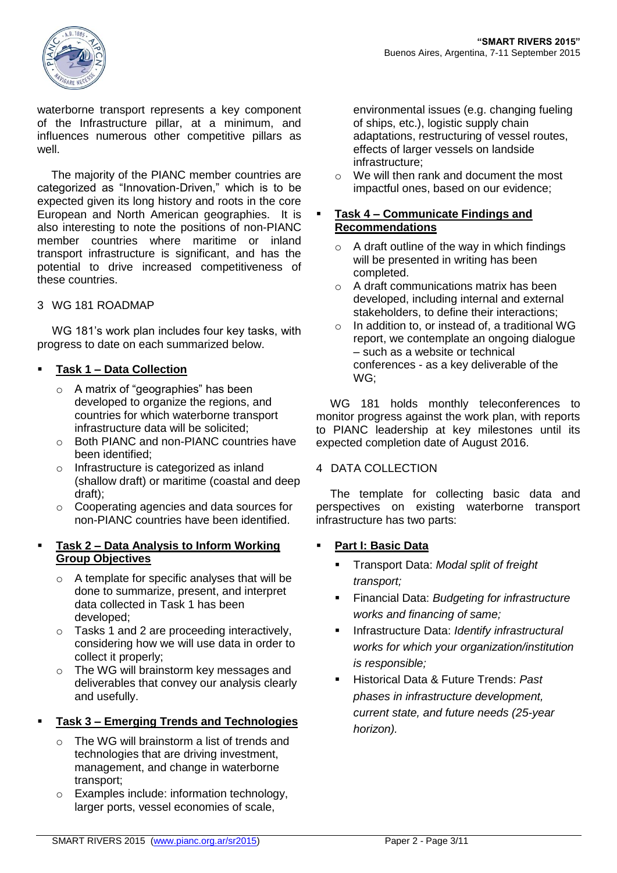

waterborne transport represents a key component of the Infrastructure pillar, at a minimum, and influences numerous other competitive pillars as well.

The majority of the PIANC member countries are categorized as "Innovation-Driven," which is to be expected given its long history and roots in the core European and North American geographies. It is also interesting to note the positions of non-PIANC member countries where maritime or inland transport infrastructure is significant, and has the potential to drive increased competitiveness of these countries.

## 3 WG 181 ROADMAP

WG 181's work plan includes four key tasks, with progress to date on each summarized below.

- **Task 1 – Data Collection** 
	- o A matrix of "geographies" has been developed to organize the regions, and countries for which waterborne transport infrastructure data will be solicited;
	- o Both PIANC and non-PIANC countries have been identified;
	- o Infrastructure is categorized as inland (shallow draft) or maritime (coastal and deep draft);
	- o Cooperating agencies and data sources for non-PIANC countries have been identified.

#### **Task 2 – Data Analysis to Inform Working Group Objectives**

- o A template for specific analyses that will be done to summarize, present, and interpret data collected in Task 1 has been developed;
- o Tasks 1 and 2 are proceeding interactively, considering how we will use data in order to collect it properly;
- o The WG will brainstorm key messages and deliverables that convey our analysis clearly and usefully.

# **Task 3 – Emerging Trends and Technologies**

- The WG will brainstorm a list of trends and technologies that are driving investment, management, and change in waterborne transport;
- o Examples include: information technology, larger ports, vessel economies of scale,

environmental issues (e.g. changing fueling of ships, etc.), logistic supply chain adaptations, restructuring of vessel routes, effects of larger vessels on landside infrastructure;

o We will then rank and document the most impactful ones, based on our evidence;

#### **Task 4 – Communicate Findings and Recommendations**

- $\circ$  A draft outline of the way in which findings will be presented in writing has been completed.
- o A draft communications matrix has been developed, including internal and external stakeholders, to define their interactions;
- o In addition to, or instead of, a traditional WG report, we contemplate an ongoing dialogue – such as a website or technical conferences - as a key deliverable of the WG;

WG 181 holds monthly teleconferences to monitor progress against the work plan, with reports to PIANC leadership at key milestones until its expected completion date of August 2016.

## 4 DATA COLLECTION

The template for collecting basic data and perspectives on existing waterborne transport infrastructure has two parts:

## **Part I: Basic Data**

- Transport Data: *Modal split of freight transport;*
- Financial Data: *Budgeting for infrastructure works and financing of same;*
- Infrastructure Data: *Identify infrastructural works for which your organization/institution is responsible;*
- Historical Data & Future Trends: *Past phases in infrastructure development, current state, and future needs (25-year horizon).*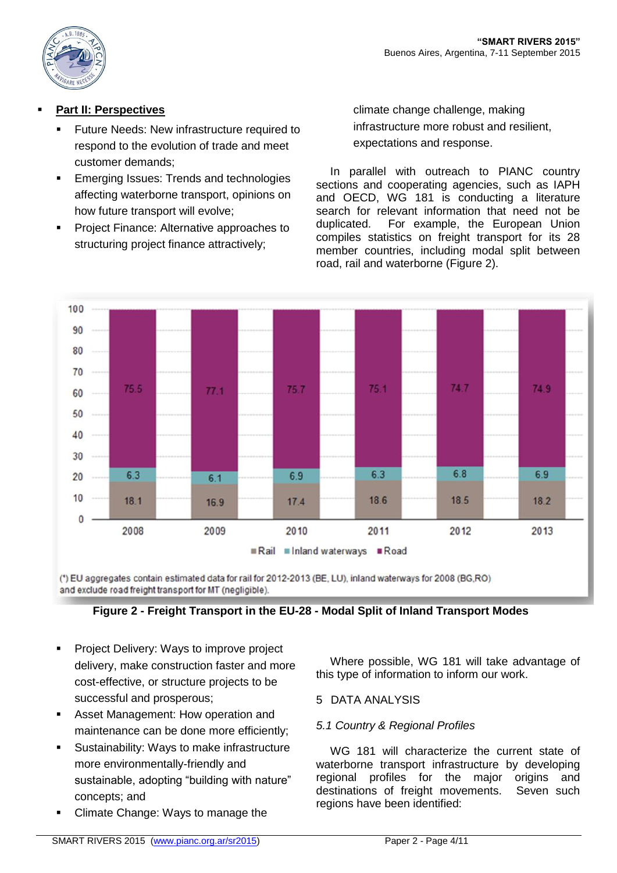

# **Part II: Perspectives**

- Future Needs: New infrastructure required to respond to the evolution of trade and meet customer demands;
- **Emerging Issues: Trends and technologies** affecting waterborne transport, opinions on how future transport will evolve;
- **Project Finance: Alternative approaches to** structuring project finance attractively;

climate change challenge, making infrastructure more robust and resilient, expectations and response.

In parallel with outreach to PIANC country sections and cooperating agencies, such as IAPH and OECD, WG 181 is conducting a literature search for relevant information that need not be duplicated. For example, the European Union compiles statistics on freight transport for its 28 member countries, including modal split between road, rail and waterborne (Figure 2).



(\*) EU aggregates contain estimated data for rail for 2012-2013 (BE, LU), inland waterways for 2008 (BG,RO) and exclude road freight transport for MT (negligible).

## **Figure 2 - Freight Transport in the EU-28 - Modal Split of Inland Transport Modes**

- Project Delivery: Ways to improve project delivery, make construction faster and more cost-effective, or structure projects to be successful and prosperous;
- **Asset Management: How operation and** maintenance can be done more efficiently;
- Sustainability: Ways to make infrastructure more environmentally-friendly and sustainable, adopting "building with nature" concepts; and
- Climate Change: Ways to manage the

Where possible, WG 181 will take advantage of this type of information to inform our work.

5 DATA ANALYSIS

## *5.1 Country & Regional Profiles*

WG 181 will characterize the current state of waterborne transport infrastructure by developing regional profiles for the major origins and destinations of freight movements. Seven such regions have been identified: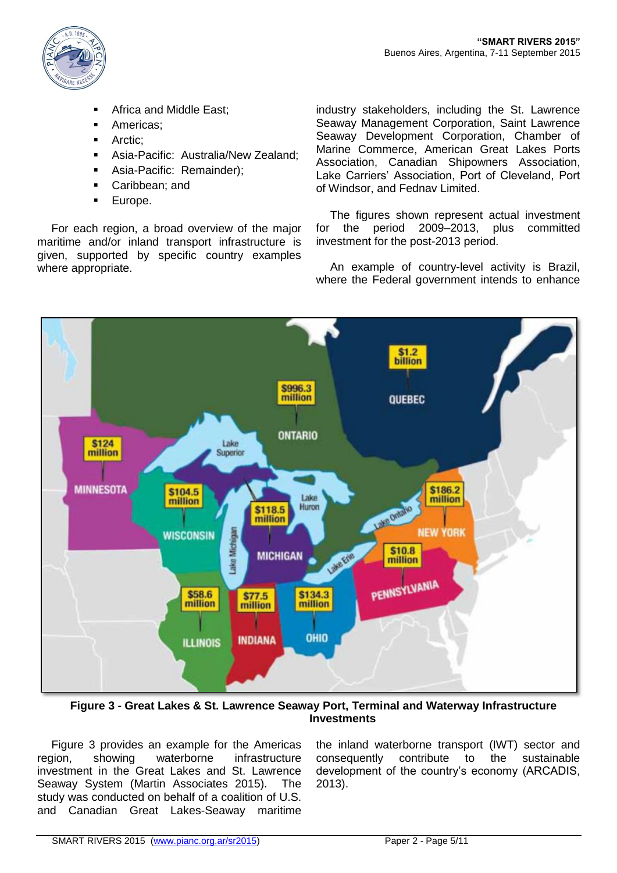

- Africa and Middle East;
- **Americas:**
- Arctic;
- **Asia-Pacific: Australia/New Zealand;**
- **Asia-Pacific: Remainder):**
- **Caribbean; and**
- **Europe.**

For each region, a broad overview of the major maritime and/or inland transport infrastructure is given, supported by specific country examples where appropriate.

industry stakeholders, including the St. Lawrence Seaway Management Corporation, Saint Lawrence Seaway Development Corporation, Chamber of Marine Commerce, American Great Lakes Ports Association, Canadian Shipowners Association, Lake Carriers' Association, Port of Cleveland, Port of Windsor, and Fednav Limited.

The figures shown represent actual investment for the period 2009–2013, plus committed investment for the post-2013 period.

An example of country-level activity is Brazil, where the Federal government intends to enhance



**Figure 3 - Great Lakes & St. Lawrence Seaway Port, Terminal and Waterway Infrastructure Investments**

Figure 3 provides an example for the Americas region, showing waterborne infrastructure investment in the Great Lakes and St. Lawrence Seaway System (Martin Associates 2015). The study was conducted on behalf of a coalition of U.S. and Canadian Great Lakes-Seaway maritime

the inland waterborne transport (IWT) sector and consequently contribute to the sustainable development of the country's economy (ARCADIS, 2013).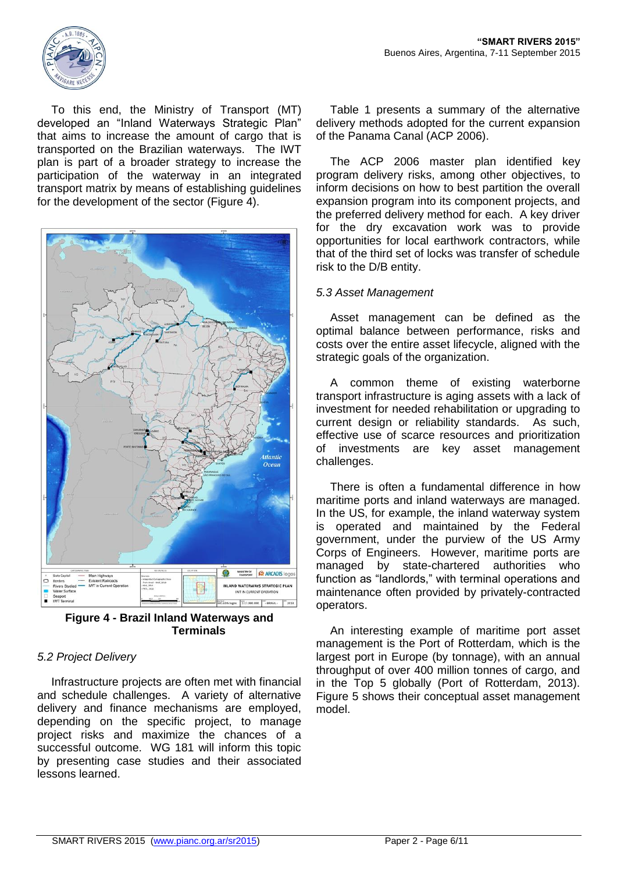

To this end, the Ministry of Transport (MT) developed an "Inland Waterways Strategic Plan" that aims to increase the amount of cargo that is transported on the Brazilian waterways. The IWT plan is part of a broader strategy to increase the participation of the waterway in an integrated transport matrix by means of establishing guidelines for the development of the sector (Figure 4).



**Figure 4 - Brazil Inland Waterways and Terminals**

## *5.2 Project Delivery*

Infrastructure projects are often met with financial and schedule challenges. A variety of alternative delivery and finance mechanisms are employed, depending on the specific project, to manage project risks and maximize the chances of a successful outcome. WG 181 will inform this topic by presenting case studies and their associated lessons learned.

Table 1 presents a summary of the alternative delivery methods adopted for the current expansion of the Panama Canal (ACP 2006).

The ACP 2006 master plan identified key program delivery risks, among other objectives, to inform decisions on how to best partition the overall expansion program into its component projects, and the preferred delivery method for each. A key driver for the dry excavation work was to provide opportunities for local earthwork contractors, while that of the third set of locks was transfer of schedule risk to the D/B entity.

## *5.3 Asset Management*

Asset management can be defined as the optimal balance between performance, risks and costs over the entire asset lifecycle, aligned with the strategic goals of the organization.

A common theme of existing waterborne transport infrastructure is aging assets with a lack of investment for needed rehabilitation or upgrading to current design or reliability standards. As such, effective use of scarce resources and prioritization of investments are key asset management challenges.

There is often a fundamental difference in how maritime ports and inland waterways are managed. In the US, for example, the inland waterway system is operated and maintained by the Federal government, under the purview of the US Army Corps of Engineers. However, maritime ports are managed by state-chartered authorities who function as "landlords," with terminal operations and maintenance often provided by privately-contracted operators.

An interesting example of maritime port asset management is the Port of Rotterdam, which is the largest port in Europe (by tonnage), with an annual throughput of over 400 million tonnes of cargo, and in the Top 5 globally (Port of Rotterdam, 2013). Figure 5 shows their conceptual asset management model.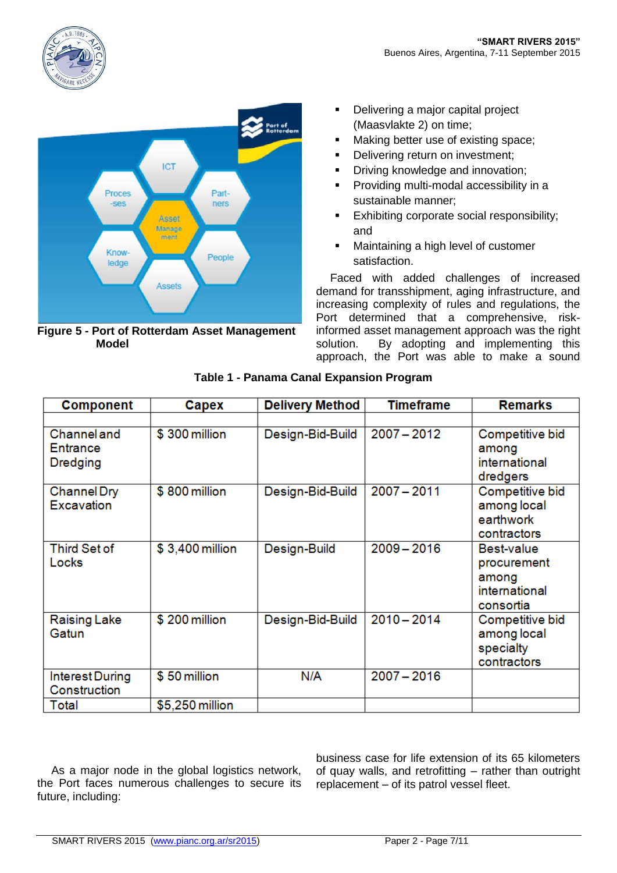



**Figure 5 - Port of Rotterdam Asset Management Model**

- **•** Delivering a major capital project (Maasvlakte 2) on time;
- Making better use of existing space;
- Delivering return on investment;
- **•** Driving knowledge and innovation;
- **Providing multi-modal accessibility in a** sustainable manner;
- **Exhibiting corporate social responsibility:** and
- Maintaining a high level of customer satisfaction.

Faced with added challenges of increased demand for transshipment, aging infrastructure, and increasing complexity of rules and regulations, the Port determined that a comprehensive, riskinformed asset management approach was the right solution. By adopting and implementing this approach, the Port was able to make a sound

| Component                                  | Capex           | <b>Delivery Method</b> | <b>Timeframe</b> | <b>Remarks</b>                                                   |
|--------------------------------------------|-----------------|------------------------|------------------|------------------------------------------------------------------|
|                                            |                 |                        |                  |                                                                  |
| <b>Channel and</b><br>Entrance<br>Dredging | \$300 million   | Design-Bid-Build       | $2007 - 2012$    | Competitive bid<br>among<br>international<br>dredgers            |
| Channel Dry<br>Excavation                  | \$800 million   | Design-Bid-Build       | $2007 - 2011$    | Competitive bid<br>among local<br>earthwork<br>contractors       |
| <b>Third Set of</b><br>Locks               | \$3,400 million | Design-Build           | $2009 - 2016$    | Best-value<br>procurement<br>among<br>international<br>consortia |
| <b>Raising Lake</b><br>Gatun               | \$200 million   | Design-Bid-Build       | $2010 - 2014$    | Competitive bid<br>among local<br>specialty<br>contractors       |
| Interest During<br>Construction            | \$50 million    | N/A                    | $2007 - 2016$    |                                                                  |
| Total                                      | \$5,250 million |                        |                  |                                                                  |

# **Table 1 - Panama Canal Expansion Program**

As a major node in the global logistics network, the Port faces numerous challenges to secure its future, including:

business case for life extension of its 65 kilometers of quay walls, and retrofitting – rather than outright replacement – of its patrol vessel fleet.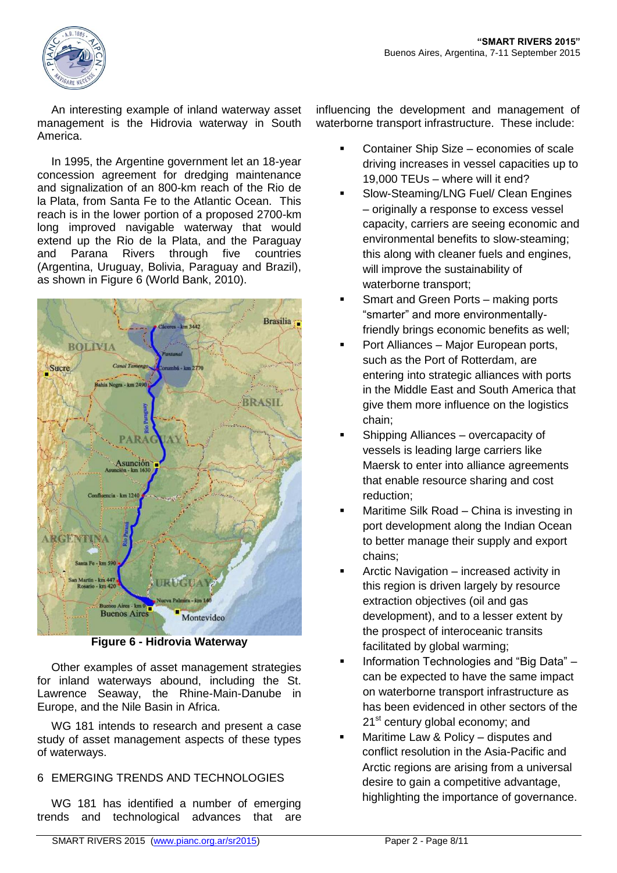

An interesting example of inland waterway asset management is the Hidrovia waterway in South America.

In 1995, the Argentine government let an 18-year concession agreement for dredging maintenance and signalization of an 800-km reach of the Rio de la Plata, from Santa Fe to the Atlantic Ocean. This reach is in the lower portion of a proposed 2700-km long improved navigable waterway that would extend up the Rio de la Plata, and the Paraguay and Parana Rivers through five countries (Argentina, Uruguay, Bolivia, Paraguay and Brazil), as shown in Figure 6 (World Bank, 2010).



**Figure 6 - Hidrovia Waterway**

Other examples of asset management strategies for inland waterways abound, including the St. Lawrence Seaway, the Rhine-Main-Danube in Europe, and the Nile Basin in Africa.

WG 181 intends to research and present a case study of asset management aspects of these types of waterways.

# 6 EMERGING TRENDS AND TECHNOLOGIES

WG 181 has identified a number of emerging trends and technological advances that are influencing the development and management of waterborne transport infrastructure. These include:

- **Container Ship Size economies of scale** driving increases in vessel capacities up to 19,000 TEUs – where will it end?
- **Slow-Steaming/LNG Fuel/ Clean Engines** – originally a response to excess vessel capacity, carriers are seeing economic and environmental benefits to slow-steaming; this along with cleaner fuels and engines, will improve the sustainability of waterborne transport;
- **Smart and Green Ports making ports** "smarter" and more environmentallyfriendly brings economic benefits as well;
- Port Alliances Major European ports, such as the Port of Rotterdam, are entering into strategic alliances with ports in the Middle East and South America that give them more influence on the logistics chain;
- Shipping Alliances overcapacity of vessels is leading large carriers like Maersk to enter into alliance agreements that enable resource sharing and cost reduction;
- Maritime Silk Road China is investing in port development along the Indian Ocean to better manage their supply and export chains;
- Arctic Navigation increased activity in this region is driven largely by resource extraction objectives (oil and gas development), and to a lesser extent by the prospect of interoceanic transits facilitated by global warming;
- Information Technologies and "Big Data" can be expected to have the same impact on waterborne transport infrastructure as has been evidenced in other sectors of the 21<sup>st</sup> century global economy; and
- Maritime Law & Policy disputes and conflict resolution in the Asia-Pacific and Arctic regions are arising from a universal desire to gain a competitive advantage, highlighting the importance of governance.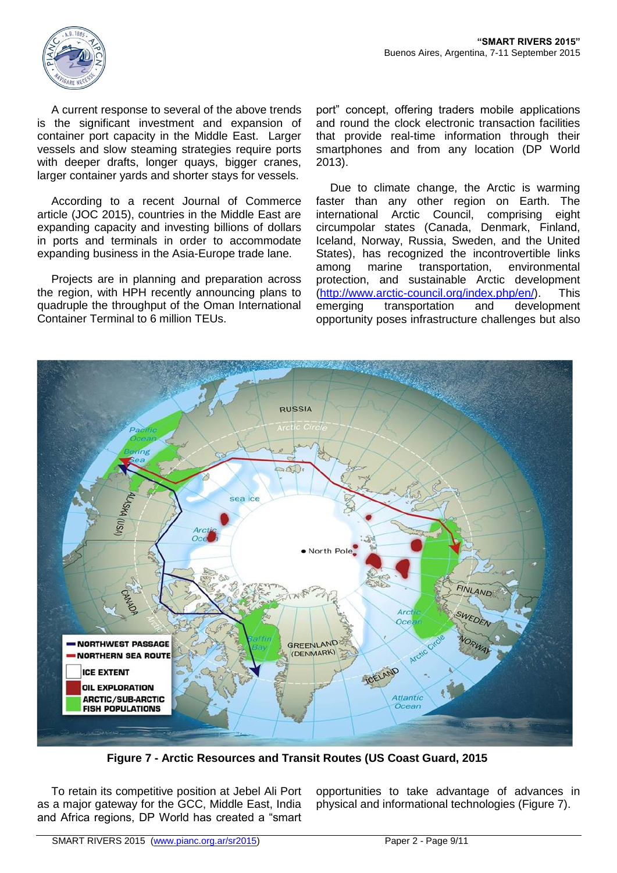

A current response to several of the above trends is the significant investment and expansion of container port capacity in the Middle East. Larger vessels and slow steaming strategies require ports with deeper drafts, longer quays, bigger cranes, larger container yards and shorter stays for vessels.

According to a recent Journal of Commerce article (JOC 2015), countries in the Middle East are expanding capacity and investing billions of dollars in ports and terminals in order to accommodate expanding business in the Asia-Europe trade lane.

Projects are in planning and preparation across the region, with HPH recently announcing plans to quadruple the throughput of the Oman International Container Terminal to 6 million TEUs.

port" concept, offering traders mobile applications and round the clock electronic transaction facilities that provide real-time information through their smartphones and from any location (DP World 2013).

Due to climate change, the Arctic is warming faster than any other region on Earth. The international Arctic Council, comprising eight circumpolar states (Canada, Denmark, Finland, Iceland, Norway, Russia, Sweden, and the United States), has recognized the incontrovertible links among marine transportation, environmental protection, and sustainable Arctic development [\(http://www.arctic-council.org/index.php/en/\)](http://www.arctic-council.org/index.php/en/). This emerging transportation and development opportunity poses infrastructure challenges but also



**Figure 7 - Arctic Resources and Transit Routes (US Coast Guard, 2015**

To retain its competitive position at Jebel Ali Port as a major gateway for the GCC, Middle East, India and Africa regions, DP World has created a "smart

opportunities to take advantage of advances in physical and informational technologies (Figure 7).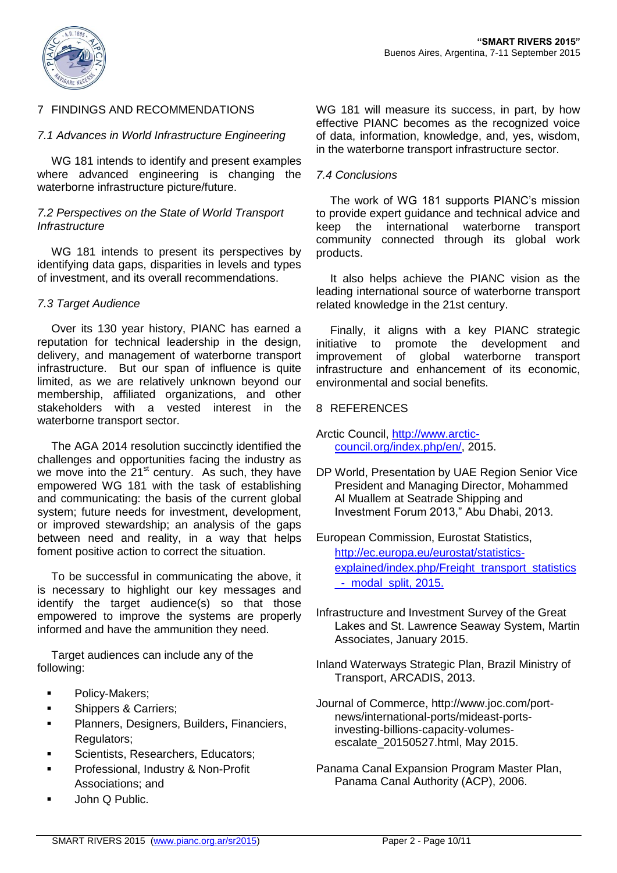

# 7 FINDINGS AND RECOMMENDATIONS

#### *7.1 Advances in World Infrastructure Engineering*

WG 181 intends to identify and present examples where advanced engineering is changing the waterborne infrastructure picture/future.

#### *7.2 Perspectives on the State of World Transport Infrastructure*

WG 181 intends to present its perspectives by identifying data gaps, disparities in levels and types of investment, and its overall recommendations.

## *7.3 Target Audience*

Over its 130 year history, PIANC has earned a reputation for technical leadership in the design, delivery, and management of waterborne transport infrastructure. But our span of influence is quite limited, as we are relatively unknown beyond our membership, affiliated organizations, and other stakeholders with a vested interest in the waterborne transport sector.

The AGA 2014 resolution succinctly identified the challenges and opportunities facing the industry as we move into the  $21^{st}$  century. As such, they have empowered WG 181 with the task of establishing and communicating: the basis of the current global system; future needs for investment, development, or improved stewardship; an analysis of the gaps between need and reality, in a way that helps foment positive action to correct the situation.

To be successful in communicating the above, it is necessary to highlight our key messages and identify the target audience(s) so that those empowered to improve the systems are properly informed and have the ammunition they need.

Target audiences can include any of the following:

- Policy-Makers;
- Shippers & Carriers;
- **Planners, Designers, Builders, Financiers,** Regulators;
- Scientists, Researchers, Educators;
- Professional, Industry & Non-Profit Associations; and
- John Q Public.

WG 181 will measure its success, in part, by how effective PIANC becomes as the recognized voice of data, information, knowledge, and, yes, wisdom, in the waterborne transport infrastructure sector.

#### *7.4 Conclusions*

The work of WG 181 supports PIANC's mission to provide expert guidance and technical advice and keep the international waterborne transport community connected through its global work products.

It also helps achieve the PIANC vision as the leading international source of waterborne transport related knowledge in the 21st century.

Finally, it aligns with a key PIANC strategic initiative to promote the development and improvement of global waterborne transport infrastructure and enhancement of its economic, environmental and social benefits.

#### 8 REFERENCES

Arctic Council, [http://www.arctic](http://www.arctic-council.org/index.php/en/)[council.org/index.php/en/,](http://www.arctic-council.org/index.php/en/) 2015.

- DP World, Presentation by UAE Region Senior Vice President and Managing Director, Mohammed Al Muallem at Seatrade Shipping and Investment Forum 2013," Abu Dhabi, 2013.
- European Commission, Eurostat Statistics, [http://ec.europa.eu/eurostat/statistics](http://ec.europa.eu/eurostat/statistics-explained/index.php/Freight_transport_statistics_-_modal_split)[explained/index.php/Freight\\_transport\\_statistics](http://ec.europa.eu/eurostat/statistics-explained/index.php/Freight_transport_statistics_-_modal_split) - modal split, 2015.
- Infrastructure and Investment Survey of the Great Lakes and St. Lawrence Seaway System, Martin Associates, January 2015.
- Inland Waterways Strategic Plan, Brazil Ministry of Transport, ARCADIS, 2013.
- Journal of Commerce, [http://www.joc.com/port](http://www.joc.com/port-news/international-ports/mideast-ports-investing-billions-capacity-volumes-escalate_20150527.html)[news/international-ports/mideast-ports](http://www.joc.com/port-news/international-ports/mideast-ports-investing-billions-capacity-volumes-escalate_20150527.html)[investing-billions-capacity-volumes](http://www.joc.com/port-news/international-ports/mideast-ports-investing-billions-capacity-volumes-escalate_20150527.html)[escalate\\_20150527.html,](http://www.joc.com/port-news/international-ports/mideast-ports-investing-billions-capacity-volumes-escalate_20150527.html) May 2015.
- Panama Canal Expansion Program Master Plan, Panama Canal Authority (ACP), 2006.